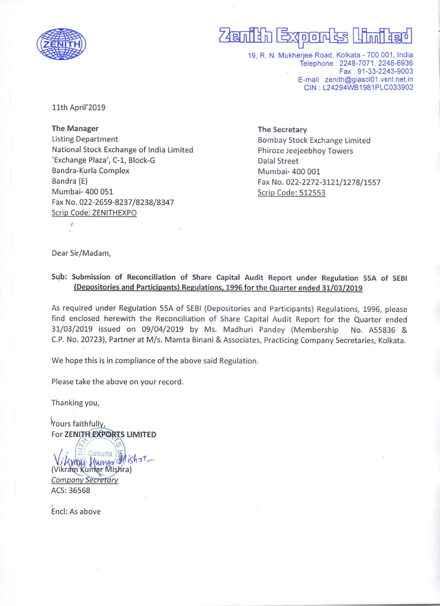

## <u>Zenilih Exports Umilied</u>

19, R. N. Mukherjee Road, Kolkata - 700 001, India Telephone: 2248-7071, 2248-6936 Fax: 91-33-2243-9003 E-mail: zenith@giascl01.vsnl.net.in CIN: L24294WB1981PLC033902

11th April'2019

**The Manager Listing Department** National Stock Exchange of India Limited 'Exchange Plaza', C-1, Block-G Bandra-Kurla Complex Bandra (E) Mumbai- 400 051 Fax No. 022-2659-8237/8238/8347 Scrip Code: ZENITHEXPO

The Secretary **Bombay Stock Exchange Limited** Phiroze Jeejeebhoy Towers **Dalal Street** Mumbai- 400 001 Fax No. 022-2272-3121/1278/1557 Scrip Code: 512553

Dear Sir/Madam,

## Sub: Submission of Reconciliation of Share Capital Audit Report under Regulation 55A of SEBI (Depositories and Participants) Regulations, 1996 for the Quarter ended 31/03/2019

As required under Regulation 55A of SEBI (Depositories and Participants) Regulations, 1996, please find enclosed herewith the Reconciliation of Share Capital Audit Report for the Quarter ended 31/03/2019 issued on 09/04/2019 by Ms. Madhuri Pandey (Membership No. A55836 & C.P. No. 20723), Partner at M/s. Mamta Binani & Associates, Practicing Company Secretaries, Kolkata.

We hope this is in compliance of the above said Regulation.

Please take the above on your record.

Thanking you,

Yours faithfully, For ZENITH EXPORTS LIMITED

alcutta Human Il ishre. (Vikram Kumar Mishra) **Company Secretary** ACS: 36568

Encl: As above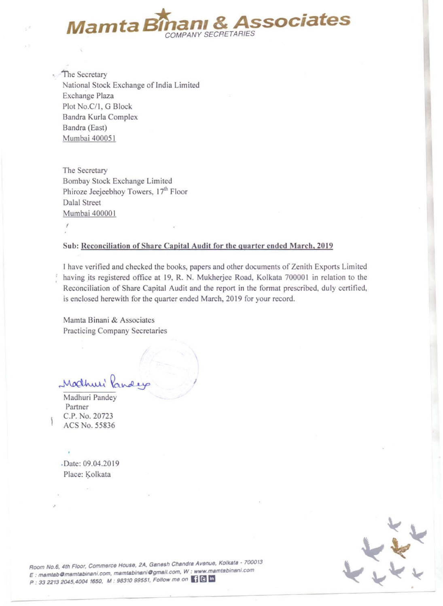

The Secretary National Stock Exchange of India Limited Exchange Plaza Plot No.C/1, G Block Bandra Kurla Complex Bandra (East) Mumbai 400051

The Secretary Bombay Stock Exchange Limited Phiroze Jeejeebhoy Towers, 17<sup>th</sup> Floor Dalal Street Mumbai 400001 ,

## Sub: Reconciliation of Share Capital Audit for the quarter ended March, 2019

I

I have verified and checked the books, papers and other documents of Zenith Exports Limited having its registered office at 19, R. N. Mukherjee Road, Kolkata 700001 in relation to the Reconciliation of Share Capital Audit and the report in the format prescribed, duly certified, is enclosed herewith for the quarter ended March, 2019 for your record.

Mamta Binani & Associates Practicing Company Secretaries

Madhuri Pa

Madhuri Pandey Partner C.P. No. 20723 ACS No. 55836

. Date: 09.04.2019 Place: Kolkata

.'



**Room No.6, 4th Floor, Commerce House. 2A. Gsn8sh Chandra Avenus, Kolkats** ~ **700013**  E .. **msmtabOmsmtabinsni.com. msmtablnan/Ogmsll,com. W .' www.mamtablnanl.com**  P : 33 2213 2045,4004 1650, M : 98310 99551, Follow me on (18) In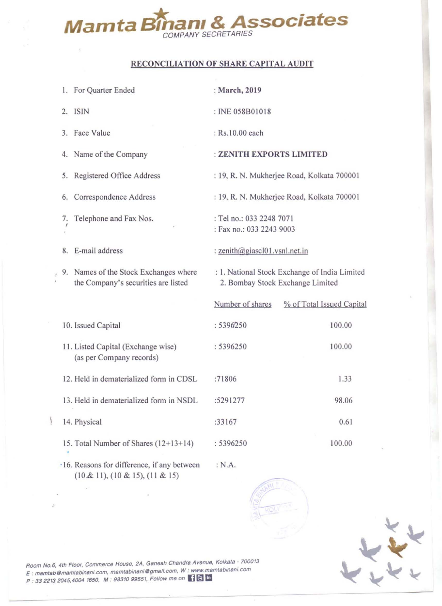

## RECONCILIATION OF SHARE CAPITAL AUDIT

|            | 1. For Quarter Ended                                                           | : March, 2019                                                                     |                           |  |  |  |
|------------|--------------------------------------------------------------------------------|-----------------------------------------------------------------------------------|---------------------------|--|--|--|
|            | 2. ISIN                                                                        | : INE 058B01018                                                                   |                           |  |  |  |
|            | 3. Face Value                                                                  | : Rs.10.00 each                                                                   |                           |  |  |  |
|            | 4. Name of the Company                                                         | : ZENITH EXPORTS LIMITED                                                          |                           |  |  |  |
|            | 5. Registered Office Address                                                   | : 19, R. N. Mukherjee Road, Kolkata 700001                                        |                           |  |  |  |
|            | 6. Correspondence Address                                                      | : 19, R. N. Mukherjee Road, Kolkata 700001                                        |                           |  |  |  |
| $\prime$ . | Telephone and Fax Nos.                                                         | : Tel no.: 033 2248 7071<br>: Fax no.: 033 2243 9003                              |                           |  |  |  |
| 8.         | E-mail address                                                                 | : zenith@giascl01.vsnl.net.in                                                     |                           |  |  |  |
|            | 9. Names of the Stock Exchanges where<br>the Company's securities are listed   | : 1. National Stock Exchange of India Limited<br>2. Bombay Stock Exchange Limited |                           |  |  |  |
|            |                                                                                | Number of shares                                                                  | % of Total Issued Capital |  |  |  |
|            | 10. Issued Capital                                                             | : 5396250                                                                         | 100.00                    |  |  |  |
|            | 11. Listed Capital (Exchange wise)<br>(as per Company records)                 | : 5396250                                                                         | 100.00                    |  |  |  |
|            | 12. Held in dematerialized form in CDSL                                        | :71806                                                                            | 1.33                      |  |  |  |
|            | 13. Held in dematerialized form in NSDL                                        | :5291277                                                                          | 98.06                     |  |  |  |
|            | 14. Physical                                                                   | :33167                                                                            | 0.61                      |  |  |  |
|            | 15. Total Number of Shares (12+13+14)                                          | : 5396250                                                                         | 100.00                    |  |  |  |
|            | ·16. Reasons for difference, if any between<br>(10 & 11), (10 & 15), (11 & 15) | : N.A.                                                                            |                           |  |  |  |





**Room No.6, 4tf'1 Floor. Commerce House, 2A. Gsnesh Chandrs Avenue. KOlk.8t8 : 700013**  E : **msmtsbOmsmtablnani. com. msmtsbinsn/Ogmsil.com. W : www.msmtsbmsnI.com**  P : 33 2213 2045,4004 1650, M : 98310 99551, Follow me on [ ] C In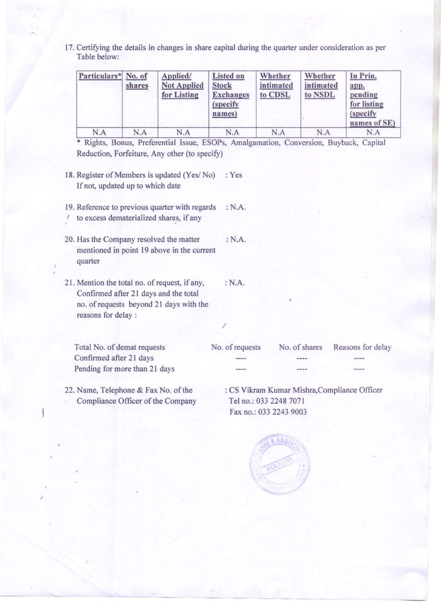17. Certifying the details in changes in share capital during the quarter under consideration as per Table below:

| Particulars* No. of | shares | Applied/<br><b>Not Applied</b><br>for Listing | <b>Listed on</b><br><b>Stock</b><br><b>Exchanges</b><br>(specify<br>names) | Whether<br>intimated<br>to CDSL | Whether<br>intimated<br>to NSDL | In Prin.<br>app.<br>pending<br>for listing<br><i>(specify)</i><br>names of SE) |
|---------------------|--------|-----------------------------------------------|----------------------------------------------------------------------------|---------------------------------|---------------------------------|--------------------------------------------------------------------------------|
| N.A                 | N.A    | N.A                                           | N.A                                                                        | N.A                             | N.A                             | N.A                                                                            |

• Rights, Bonus, Preferential Issue, ESOPs, Amalgamation, Conversion, Buyback, Capital Reduction, Forfeiture, Any other (to specify)

- 18. Register of Members is updated (Yes/No) : Yes If not, updated up to which date
- 19. Reference to previous quarter with regards : N.A.  $\prime$  to excess dematerialized shares, if any
- 20. Has the Company resolved the matter mentioned in point 19 above in the current quarter :N.A.
- 21. Mention the total no. of request, ifany, Confirmed after 21 days and the total no. of requests beyond 21 days with the reasons for delay: :N.A.

Total No. of demat requests Confirmed after 21 days Pending for more than 21 days No. of requests No. of shares Reasons for delay

I

- 22. Name, Telephone & Fax No. of the Compliance Officer of the Company
- : CS Vikram Kumar Mishra,Compliance Officer Tel no.: 033 2248 7071 Fax no.: 033 2243 9003